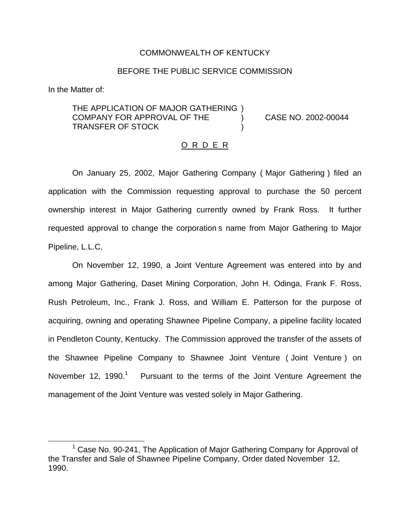## COMMONWEALTH OF KENTUCKY

## BEFORE THE PUBLIC SERVICE COMMISSION

In the Matter of:

THE APPLICATION OF MAJOR GATHERING ) COMPANY FOR APPROVAL OF THE ) CASE NO. 2002-00044 TRANSFER OF STOCK )

## O R D E R

On January 25, 2002, Major Gathering Company ( Major Gathering ) filed an application with the Commission requesting approval to purchase the 50 percent ownership interest in Major Gathering currently owned by Frank Ross. It further requested approval to change the corporation s name from Major Gathering to Major Pipeline, L.L.C.

On November 12, 1990, a Joint Venture Agreement was entered into by and among Major Gathering, Daset Mining Corporation, John H. Odinga, Frank F. Ross, Rush Petroleum, Inc., Frank J. Ross, and William E. Patterson for the purpose of acquiring, owning and operating Shawnee Pipeline Company, a pipeline facility located in Pendleton County, Kentucky. The Commission approved the transfer of the assets of the Shawnee Pipeline Company to Shawnee Joint Venture ( Joint Venture ) on November 12, 1990.<sup>1</sup> Pursuant to the terms of the Joint Venture Agreement the management of the Joint Venture was vested solely in Major Gathering.

 $1$  Case No. 90-241, The Application of Major Gathering Company for Approval of the Transfer and Sale of Shawnee Pipeline Company, Order dated November 12, 1990.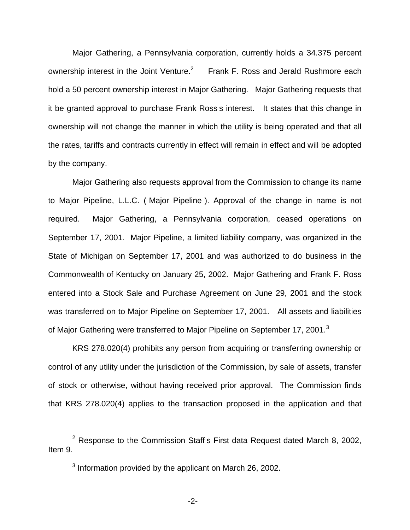Major Gathering, a Pennsylvania corporation, currently holds a 34.375 percent ownership interest in the Joint Venture.<sup>2</sup> Frank F. Ross and Jerald Rushmore each hold a 50 percent ownership interest in Major Gathering. Major Gathering requests that it be granted approval to purchase Frank Ross s interest. It states that this change in ownership will not change the manner in which the utility is being operated and that all the rates, tariffs and contracts currently in effect will remain in effect and will be adopted by the company.

Major Gathering also requests approval from the Commission to change its name to Major Pipeline, L.L.C. ( Major Pipeline ). Approval of the change in name is not required. Major Gathering, a Pennsylvania corporation, ceased operations on September 17, 2001. Major Pipeline, a limited liability company, was organized in the State of Michigan on September 17, 2001 and was authorized to do business in the Commonwealth of Kentucky on January 25, 2002. Major Gathering and Frank F. Ross entered into a Stock Sale and Purchase Agreement on June 29, 2001 and the stock was transferred on to Major Pipeline on September 17, 2001. All assets and liabilities of Major Gathering were transferred to Major Pipeline on September 17, 2001.<sup>3</sup>

KRS 278.020(4) prohibits any person from acquiring or transferring ownership or control of any utility under the jurisdiction of the Commission, by sale of assets, transfer of stock or otherwise, without having received prior approval. The Commission finds that KRS 278.020(4) applies to the transaction proposed in the application and that

 $2$  Response to the Commission Staff s First data Request dated March 8, 2002, Item 9.

 $3$  Information provided by the applicant on March 26, 2002.

<sup>-2-</sup>